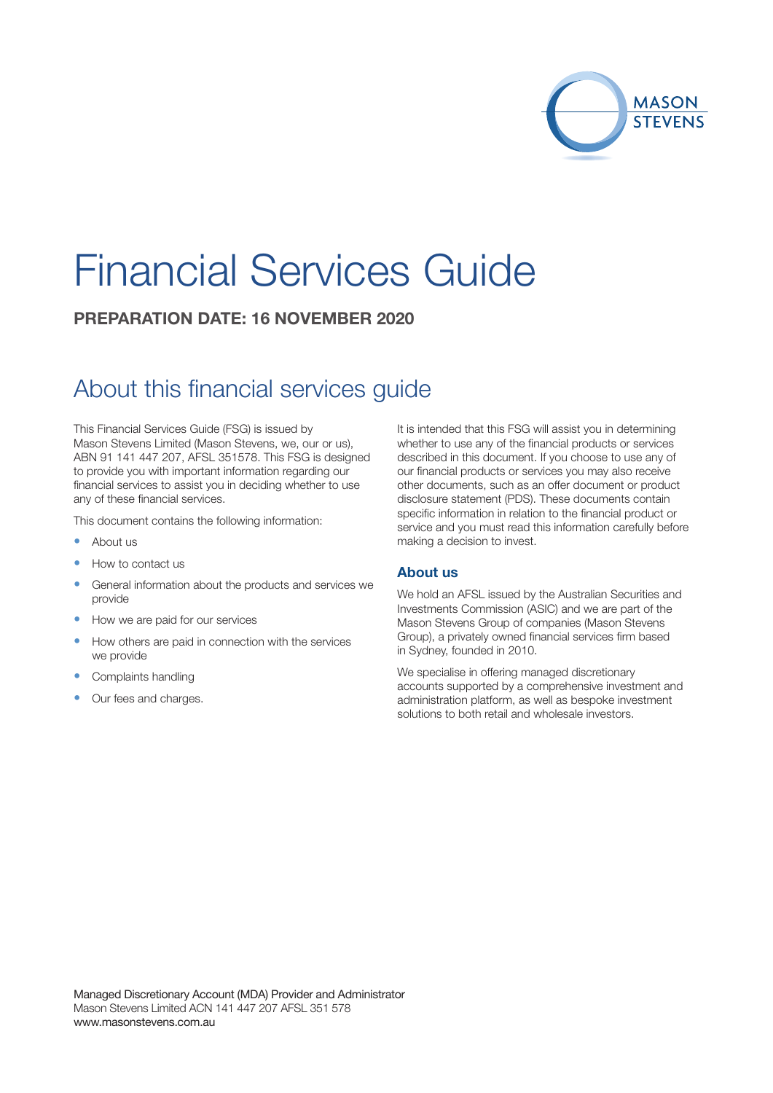

# Financial Services Guide

**PREPARATION DATE: 16 NOVEMBER 2020**

# About this financial services guide

This Financial Services Guide (FSG) is issued by Mason Stevens Limited (Mason Stevens, we, our or us), ABN 91 141 447 207, AFSL 351578. This FSG is designed to provide you with important information regarding our financial services to assist you in deciding whether to use any of these financial services.

This document contains the following information:

- About us
- How to contact us
- General information about the products and services we provide
- How we are paid for our services
- How others are paid in connection with the services we provide
- Complaints handling
- Our fees and charges.

It is intended that this FSG will assist you in determining whether to use any of the financial products or services described in this document. If you choose to use any of our financial products or services you may also receive other documents, such as an offer document or product disclosure statement (PDS). These documents contain specific information in relation to the financial product or service and you must read this information carefully before making a decision to invest.

#### **About us**

We hold an AFSL issued by the Australian Securities and Investments Commission (ASIC) and we are part of the Mason Stevens Group of companies (Mason Stevens Group), a privately owned financial services firm based in Sydney, founded in 2010.

We specialise in offering managed discretionary accounts supported by a comprehensive investment and administration platform, as well as bespoke investment solutions to both retail and wholesale investors.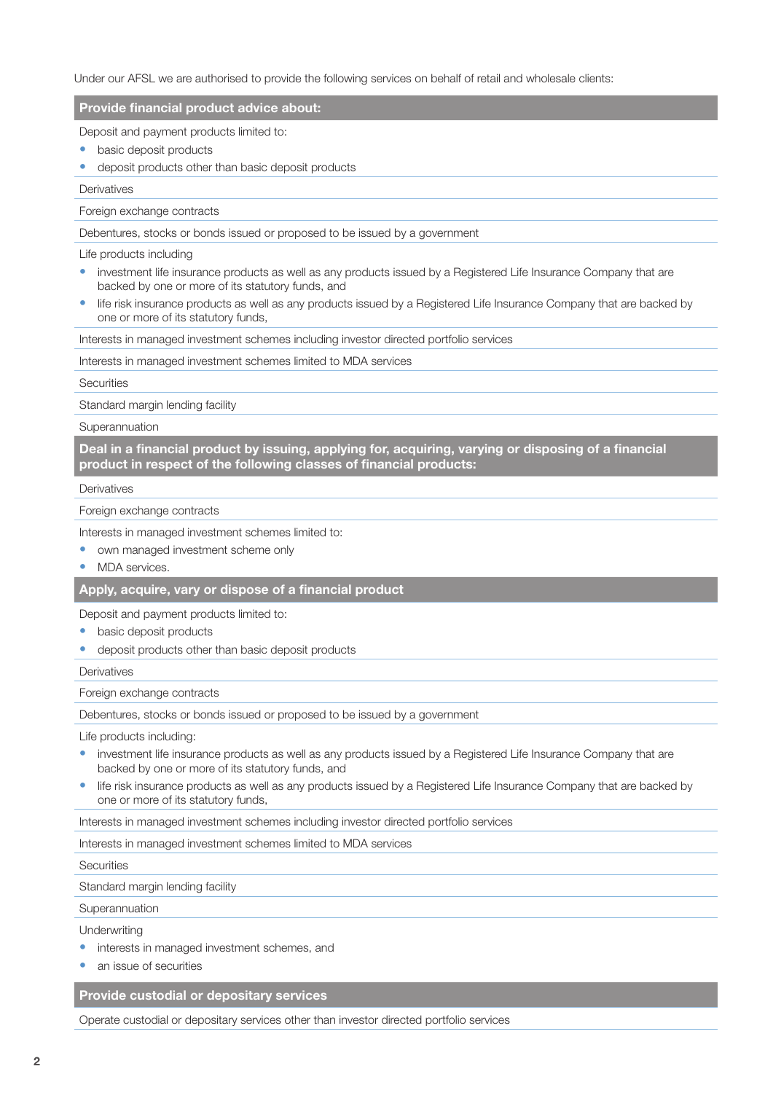Under our AFSL we are authorised to provide the following services on behalf of retail and wholesale clients:

**Provide financial product advice about:**

Deposit and payment products limited to:

- basic deposit products
- deposit products other than basic deposit products

**Derivatives** 

Foreign exchange contracts

Debentures, stocks or bonds issued or proposed to be issued by a government

Life products including

- investment life insurance products as well as any products issued by a Registered Life Insurance Company that are backed by one or more of its statutory funds, and
- life risk insurance products as well as any products issued by a Registered Life Insurance Company that are backed by one or more of its statutory funds,

Interests in managed investment schemes including investor directed portfolio services

Interests in managed investment schemes limited to MDA services

**Securities** 

Standard margin lending facility

Superannuation

**Deal in a financial product by issuing, applying for, acquiring, varying or disposing of a financial product in respect of the following classes of financial products:**

**Derivatives** 

Foreign exchange contracts

Interests in managed investment schemes limited to:

- own managed investment scheme only
- MDA services.

**Apply, acquire, vary or dispose of a financial product**

Deposit and payment products limited to:

- basic deposit products
- deposit products other than basic deposit products

**Derivatives** 

Foreign exchange contracts

Debentures, stocks or bonds issued or proposed to be issued by a government

Life products including:

- investment life insurance products as well as any products issued by a Registered Life Insurance Company that are backed by one or more of its statutory funds, and
- life risk insurance products as well as any products issued by a Registered Life Insurance Company that are backed by one or more of its statutory funds,

Interests in managed investment schemes including investor directed portfolio services

Interests in managed investment schemes limited to MDA services

**Securities** 

Standard margin lending facility

Superannuation

**Underwriting** 

- interests in managed investment schemes, and
- an issue of securities

**Provide custodial or depositary services**

Operate custodial or depositary services other than investor directed portfolio services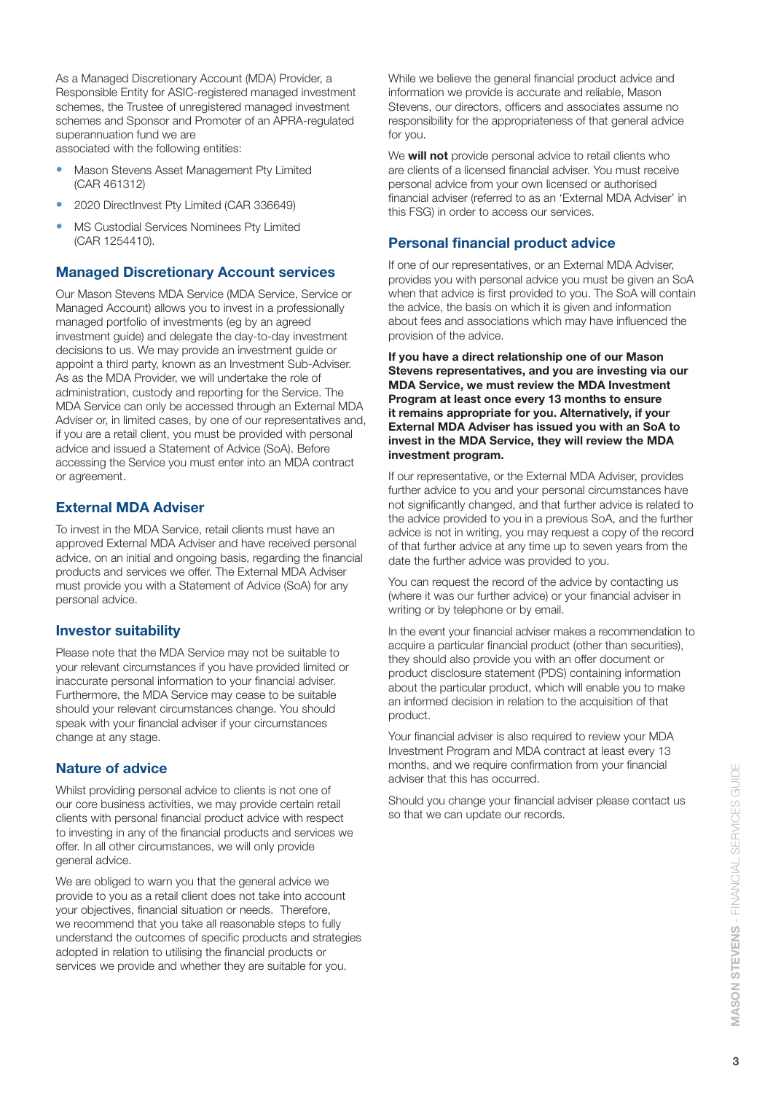As a Managed Discretionary Account (MDA) Provider, a Responsible Entity for ASIC-registered managed investment schemes, the Trustee of unregistered managed investment schemes and Sponsor and Promoter of an APRA-regulated superannuation fund we are

associated with the following entities:

- Mason Stevens Asset Management Pty Limited (CAR 461312)
- 2020 DirectInvest Pty Limited (CAR 336649)
- MS Custodial Services Nominees Pty Limited (CAR 1254410).

# **Managed Discretionary Account services**

Our Mason Stevens MDA Service (MDA Service, Service or Managed Account) allows you to invest in a professionally managed portfolio of investments (eg by an agreed investment guide) and delegate the day-to-day investment decisions to us. We may provide an investment guide or appoint a third party, known as an Investment Sub-Adviser. As as the MDA Provider, we will undertake the role of administration, custody and reporting for the Service. The MDA Service can only be accessed through an External MDA Adviser or, in limited cases, by one of our representatives and, if you are a retail client, you must be provided with personal advice and issued a Statement of Advice (SoA). Before accessing the Service you must enter into an MDA contract or agreement.

# **External MDA Adviser**

To invest in the MDA Service, retail clients must have an approved External MDA Adviser and have received personal advice, on an initial and ongoing basis, regarding the financial products and services we offer. The External MDA Adviser must provide you with a Statement of Advice (SoA) for any personal advice.

#### **Investor suitability**

Please note that the MDA Service may not be suitable to your relevant circumstances if you have provided limited or inaccurate personal information to your financial adviser. Furthermore, the MDA Service may cease to be suitable should your relevant circumstances change. You should speak with your financial adviser if your circumstances change at any stage.

# **Nature of advice**

Whilst providing personal advice to clients is not one of our core business activities, we may provide certain retail clients with personal financial product advice with respect to investing in any of the financial products and services we offer. In all other circumstances, we will only provide general advice.

We are obliged to warn you that the general advice we provide to you as a retail client does not take into account your objectives, financial situation or needs. Therefore, we recommend that you take all reasonable steps to fully understand the outcomes of specific products and strategies adopted in relation to utilising the financial products or services we provide and whether they are suitable for you.

While we believe the general financial product advice and information we provide is accurate and reliable, Mason Stevens, our directors, officers and associates assume no responsibility for the appropriateness of that general advice for you.

We **will not** provide personal advice to retail clients who are clients of a licensed financial adviser. You must receive personal advice from your own licensed or authorised financial adviser (referred to as an 'External MDA Adviser' in this FSG) in order to access our services.

## **Personal financial product advice**

If one of our representatives, or an External MDA Adviser, provides you with personal advice you must be given an SoA when that advice is first provided to you. The SoA will contain the advice, the basis on which it is given and information about fees and associations which may have influenced the provision of the advice.

**If you have a direct relationship one of our Mason Stevens representatives, and you are investing via our MDA Service, we must review the MDA Investment Program at least once every 13 months to ensure it remains appropriate for you. Alternatively, if your External MDA Adviser has issued you with an SoA to invest in the MDA Service, they will review the MDA investment program.**

If our representative, or the External MDA Adviser, provides further advice to you and your personal circumstances have not significantly changed, and that further advice is related to the advice provided to you in a previous SoA, and the further advice is not in writing, you may request a copy of the record of that further advice at any time up to seven years from the date the further advice was provided to you.

You can request the record of the advice by contacting us (where it was our further advice) or your financial adviser in writing or by telephone or by email.

In the event your financial adviser makes a recommendation to acquire a particular financial product (other than securities), they should also provide you with an offer document or product disclosure statement (PDS) containing information about the particular product, which will enable you to make an informed decision in relation to the acquisition of that product.

Your financial adviser is also required to review your MDA Investment Program and MDA contract at least every 13 months, and we require confirmation from your financial adviser that this has occurred.

Should you change your financial adviser please contact us so that we can update our records.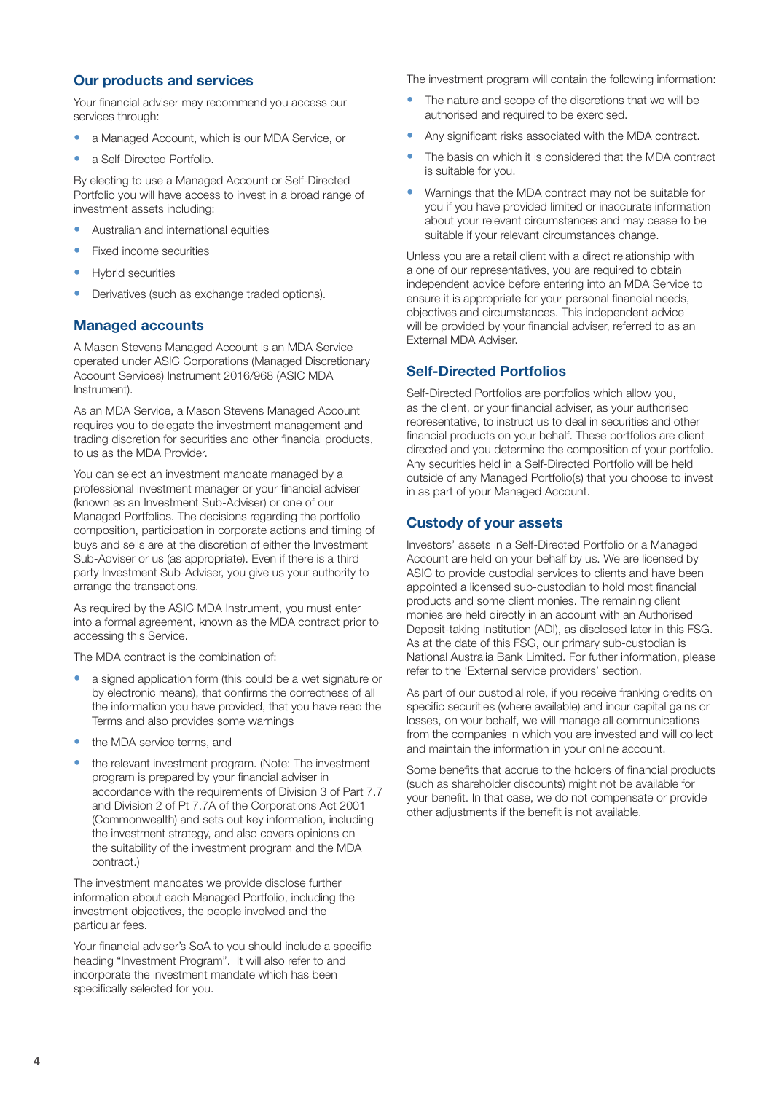#### **Our products and services**

Your financial adviser may recommend you access our services through:

- a Managed Account, which is our MDA Service, or
- a Self-Directed Portfolio.

By electing to use a Managed Account or Self-Directed Portfolio you will have access to invest in a broad range of investment assets including:

- Australian and international equities
- Fixed income securities
- Hybrid securities
- Derivatives (such as exchange traded options).

#### **Managed accounts**

A Mason Stevens Managed Account is an MDA Service operated under ASIC Corporations (Managed Discretionary Account Services) Instrument 2016/968 (ASIC MDA Instrument).

As an MDA Service, a Mason Stevens Managed Account requires you to delegate the investment management and trading discretion for securities and other financial products, to us as the MDA Provider.

You can select an investment mandate managed by a professional investment manager or your financial adviser (known as an Investment Sub-Adviser) or one of our Managed Portfolios. The decisions regarding the portfolio composition, participation in corporate actions and timing of buys and sells are at the discretion of either the Investment Sub-Adviser or us (as appropriate). Even if there is a third party Investment Sub-Adviser, you give us your authority to arrange the transactions.

As required by the ASIC MDA Instrument, you must enter into a formal agreement, known as the MDA contract prior to accessing this Service.

The MDA contract is the combination of:

- a signed application form (this could be a wet signature or by electronic means), that confirms the correctness of all the information you have provided, that you have read the Terms and also provides some warnings
- the MDA service terms, and
- the relevant investment program. (Note: The investment program is prepared by your financial adviser in accordance with the requirements of Division 3 of Part 7.7 and Division 2 of Pt 7.7A of the Corporations Act 2001 (Commonwealth) and sets out key information, including the investment strategy, and also covers opinions on the suitability of the investment program and the MDA contract.)

The investment mandates we provide disclose further information about each Managed Portfolio, including the investment objectives, the people involved and the particular fees.

Your financial adviser's SoA to you should include a specific heading "Investment Program". It will also refer to and incorporate the investment mandate which has been specifically selected for you.

The investment program will contain the following information:

- The nature and scope of the discretions that we will be authorised and required to be exercised.
- Any significant risks associated with the MDA contract.
- The basis on which it is considered that the MDA contract is suitable for you.
- Warnings that the MDA contract may not be suitable for you if you have provided limited or inaccurate information about your relevant circumstances and may cease to be suitable if your relevant circumstances change.

Unless you are a retail client with a direct relationship with a one of our representatives, you are required to obtain independent advice before entering into an MDA Service to ensure it is appropriate for your personal financial needs, objectives and circumstances. This independent advice will be provided by your financial adviser, referred to as an External MDA Adviser.

# **Self-Directed Portfolios**

Self-Directed Portfolios are portfolios which allow you, as the client, or your financial adviser, as your authorised representative, to instruct us to deal in securities and other financial products on your behalf. These portfolios are client directed and you determine the composition of your portfolio. Any securities held in a Self-Directed Portfolio will be held outside of any Managed Portfolio(s) that you choose to invest in as part of your Managed Account.

# **Custody of your assets**

Investors' assets in a Self-Directed Portfolio or a Managed Account are held on your behalf by us. We are licensed by ASIC to provide custodial services to clients and have been appointed a licensed sub-custodian to hold most financial products and some client monies. The remaining client monies are held directly in an account with an Authorised Deposit-taking Institution (ADI), as disclosed later in this FSG. As at the date of this FSG, our primary sub-custodian is National Australia Bank Limited. For futher information, please refer to the 'External service providers' section.

As part of our custodial role, if you receive franking credits on specific securities (where available) and incur capital gains or losses, on your behalf, we will manage all communications from the companies in which you are invested and will collect and maintain the information in your online account.

Some benefits that accrue to the holders of financial products (such as shareholder discounts) might not be available for your benefit. In that case, we do not compensate or provide other adjustments if the benefit is not available.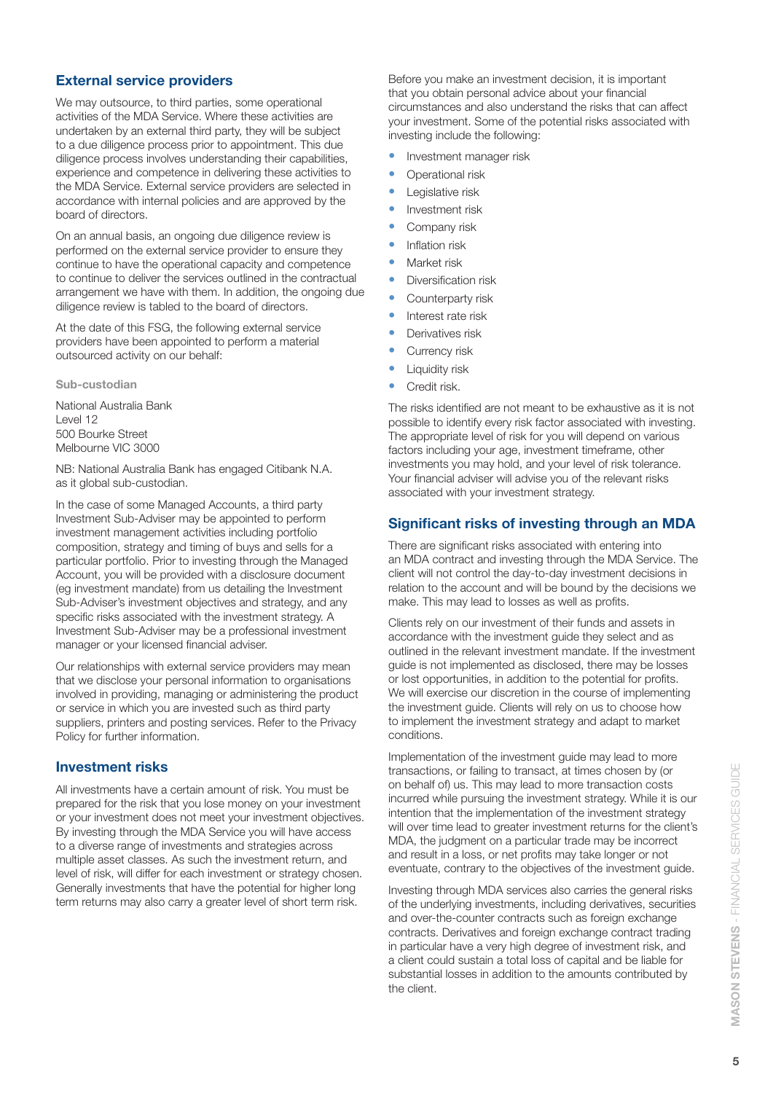## **External service providers**

We may outsource, to third parties, some operational activities of the MDA Service. Where these activities are undertaken by an external third party, they will be subject to a due diligence process prior to appointment. This due diligence process involves understanding their capabilities, experience and competence in delivering these activities to the MDA Service. External service providers are selected in accordance with internal policies and are approved by the board of directors.

On an annual basis, an ongoing due diligence review is performed on the external service provider to ensure they continue to have the operational capacity and competence to continue to deliver the services outlined in the contractual arrangement we have with them. In addition, the ongoing due diligence review is tabled to the board of directors.

At the date of this FSG, the following external service providers have been appointed to perform a material outsourced activity on our behalf:

**Sub-custodian**

National Australia Bank Level 12 500 Bourke Street Melbourne VIC 3000

NB: National Australia Bank has engaged Citibank N.A. as it global sub-custodian.

In the case of some Managed Accounts, a third party Investment Sub-Adviser may be appointed to perform investment management activities including portfolio composition, strategy and timing of buys and sells for a particular portfolio. Prior to investing through the Managed Account, you will be provided with a disclosure document (eg investment mandate) from us detailing the Investment Sub-Adviser's investment objectives and strategy, and any specific risks associated with the investment strategy. A Investment Sub-Adviser may be a professional investment manager or your licensed financial adviser.

Our relationships with external service providers may mean that we disclose your personal information to organisations involved in providing, managing or administering the product or service in which you are invested such as third party suppliers, printers and posting services. Refer to the Privacy Policy for further information.

## **Investment risks**

All investments have a certain amount of risk. You must be prepared for the risk that you lose money on your investment or your investment does not meet your investment objectives. By investing through the MDA Service you will have access to a diverse range of investments and strategies across multiple asset classes. As such the investment return, and level of risk, will differ for each investment or strategy chosen. Generally investments that have the potential for higher long term returns may also carry a greater level of short term risk.

Before you make an investment decision, it is important that you obtain personal advice about your financial circumstances and also understand the risks that can affect your investment. Some of the potential risks associated with investing include the following:

- Investment manager risk
- Operational risk
- Legislative risk
- Investment risk
- Company risk
- Inflation risk
- Market risk
- Diversification risk
- Counterparty risk
- Interest rate risk
- Derivatives risk
- Currency risk
- Liquidity risk
- Credit risk.

The risks identified are not meant to be exhaustive as it is not possible to identify every risk factor associated with investing. The appropriate level of risk for you will depend on various factors including your age, investment timeframe, other investments you may hold, and your level of risk tolerance. Your financial adviser will advise you of the relevant risks associated with your investment strategy.

#### **Significant risks of investing through an MDA**

There are significant risks associated with entering into an MDA contract and investing through the MDA Service. The client will not control the day-to-day investment decisions in relation to the account and will be bound by the decisions we make. This may lead to losses as well as profits.

Clients rely on our investment of their funds and assets in accordance with the investment guide they select and as outlined in the relevant investment mandate. If the investment guide is not implemented as disclosed, there may be losses or lost opportunities, in addition to the potential for profits. We will exercise our discretion in the course of implementing the investment guide. Clients will rely on us to choose how to implement the investment strategy and adapt to market conditions.

Implementation of the investment guide may lead to more transactions, or failing to transact, at times chosen by (or on behalf of) us. This may lead to more transaction costs incurred while pursuing the investment strategy. While it is our intention that the implementation of the investment strategy will over time lead to greater investment returns for the client's MDA, the judgment on a particular trade may be incorrect and result in a loss, or net profits may take longer or not eventuate, contrary to the objectives of the investment guide.

Investing through MDA services also carries the general risks of the underlying investments, including derivatives, securities and over-the-counter contracts such as foreign exchange contracts. Derivatives and foreign exchange contract trading in particular have a very high degree of investment risk, and a client could sustain a total loss of capital and be liable for substantial losses in addition to the amounts contributed by the client.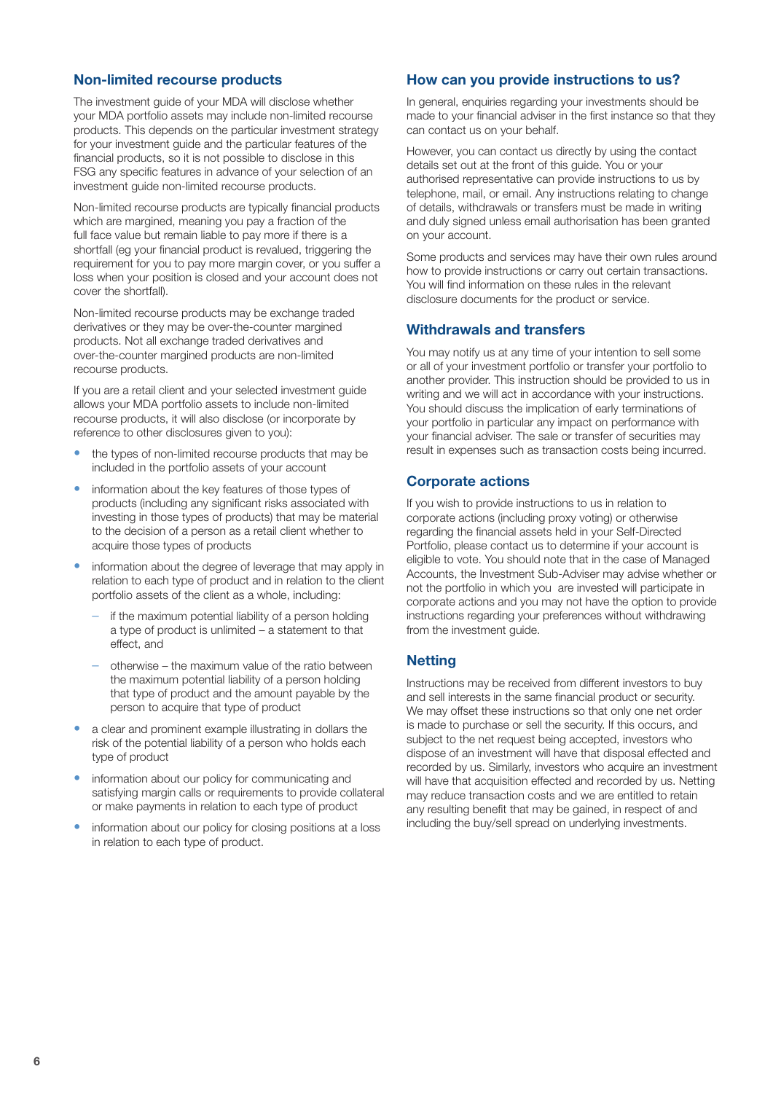#### **Non-limited recourse products**

The investment guide of your MDA will disclose whether your MDA portfolio assets may include non-limited recourse products. This depends on the particular investment strategy for your investment guide and the particular features of the financial products, so it is not possible to disclose in this FSG any specific features in advance of your selection of an investment guide non-limited recourse products.

Non-limited recourse products are typically financial products which are margined, meaning you pay a fraction of the full face value but remain liable to pay more if there is a shortfall (eg your financial product is revalued, triggering the requirement for you to pay more margin cover, or you suffer a loss when your position is closed and your account does not cover the shortfall).

Non-limited recourse products may be exchange traded derivatives or they may be over-the-counter margined products. Not all exchange traded derivatives and over-the-counter margined products are non-limited recourse products.

If you are a retail client and your selected investment guide allows your MDA portfolio assets to include non-limited recourse products, it will also disclose (or incorporate by reference to other disclosures given to you):

- the types of non-limited recourse products that may be included in the portfolio assets of your account
- information about the key features of those types of products (including any significant risks associated with investing in those types of products) that may be material to the decision of a person as a retail client whether to acquire those types of products
- information about the degree of leverage that may apply in relation to each type of product and in relation to the client portfolio assets of the client as a whole, including:
	- if the maximum potential liability of a person holding a type of product is unlimited – a statement to that effect, and
	- otherwise the maximum value of the ratio between the maximum potential liability of a person holding that type of product and the amount payable by the person to acquire that type of product
- a clear and prominent example illustrating in dollars the risk of the potential liability of a person who holds each type of product
- information about our policy for communicating and satisfying margin calls or requirements to provide collateral or make payments in relation to each type of product
- information about our policy for closing positions at a loss in relation to each type of product.

#### **How can you provide instructions to us?**

In general, enquiries regarding your investments should be made to your financial adviser in the first instance so that they can contact us on your behalf.

However, you can contact us directly by using the contact details set out at the front of this guide. You or your authorised representative can provide instructions to us by telephone, mail, or email. Any instructions relating to change of details, withdrawals or transfers must be made in writing and duly signed unless email authorisation has been granted on your account.

Some products and services may have their own rules around how to provide instructions or carry out certain transactions. You will find information on these rules in the relevant disclosure documents for the product or service.

#### **Withdrawals and transfers**

You may notify us at any time of your intention to sell some or all of your investment portfolio or transfer your portfolio to another provider. This instruction should be provided to us in writing and we will act in accordance with your instructions. You should discuss the implication of early terminations of your portfolio in particular any impact on performance with your financial adviser. The sale or transfer of securities may result in expenses such as transaction costs being incurred.

#### **Corporate actions**

If you wish to provide instructions to us in relation to corporate actions (including proxy voting) or otherwise regarding the financial assets held in your Self-Directed Portfolio, please contact us to determine if your account is eligible to vote. You should note that in the case of Managed Accounts, the Investment Sub-Adviser may advise whether or not the portfolio in which you are invested will participate in corporate actions and you may not have the option to provide instructions regarding your preferences without withdrawing from the investment guide.

#### **Netting**

Instructions may be received from different investors to buy and sell interests in the same financial product or security. We may offset these instructions so that only one net order is made to purchase or sell the security. If this occurs, and subject to the net request being accepted, investors who dispose of an investment will have that disposal effected and recorded by us. Similarly, investors who acquire an investment will have that acquisition effected and recorded by us. Netting may reduce transaction costs and we are entitled to retain any resulting benefit that may be gained, in respect of and including the buy/sell spread on underlying investments.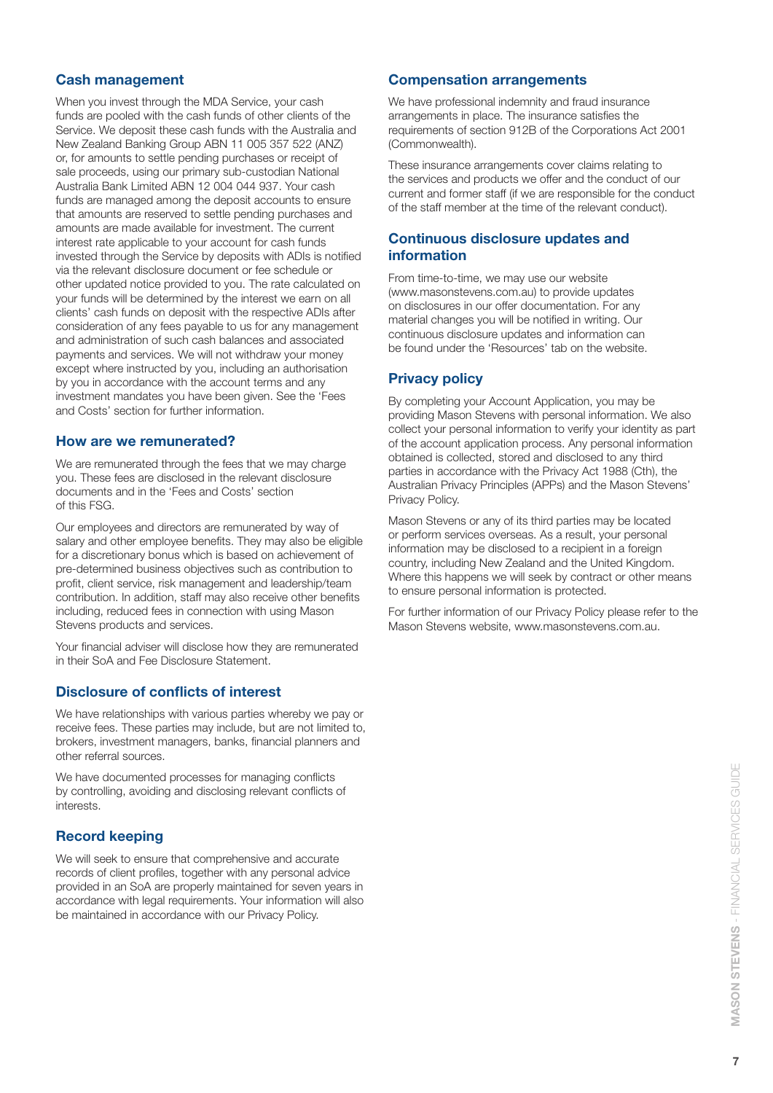## **Cash management**

When you invest through the MDA Service, your cash funds are pooled with the cash funds of other clients of the Service. We deposit these cash funds with the Australia and New Zealand Banking Group ABN 11 005 357 522 (ANZ) or, for amounts to settle pending purchases or receipt of sale proceeds, using our primary sub-custodian National Australia Bank Limited ABN 12 004 044 937. Your cash funds are managed among the deposit accounts to ensure that amounts are reserved to settle pending purchases and amounts are made available for investment. The current interest rate applicable to your account for cash funds invested through the Service by deposits with ADIs is notified via the relevant disclosure document or fee schedule or other updated notice provided to you. The rate calculated on your funds will be determined by the interest we earn on all clients' cash funds on deposit with the respective ADIs after consideration of any fees payable to us for any management and administration of such cash balances and associated payments and services. We will not withdraw your money except where instructed by you, including an authorisation by you in accordance with the account terms and any investment mandates you have been given. See the 'Fees and Costs' section for further information.

#### **How are we remunerated?**

We are remunerated through the fees that we may charge you. These fees are disclosed in the relevant disclosure documents and in the 'Fees and Costs' section of this FSG.

Our employees and directors are remunerated by way of salary and other employee benefits. They may also be eligible for a discretionary bonus which is based on achievement of pre-determined business objectives such as contribution to profit, client service, risk management and leadership/team contribution. In addition, staff may also receive other benefits including, reduced fees in connection with using Mason Stevens products and services.

Your financial adviser will disclose how they are remunerated in their SoA and Fee Disclosure Statement.

#### **Disclosure of conflicts of interest**

We have relationships with various parties whereby we pay or receive fees. These parties may include, but are not limited to, brokers, investment managers, banks, financial planners and other referral sources.

We have documented processes for managing conflicts by controlling, avoiding and disclosing relevant conflicts of interests.

## **Record keeping**

We will seek to ensure that comprehensive and accurate records of client profiles, together with any personal advice provided in an SoA are properly maintained for seven years in accordance with legal requirements. Your information will also be maintained in accordance with our Privacy Policy.

#### **Compensation arrangements**

We have professional indemnity and fraud insurance arrangements in place. The insurance satisfies the requirements of section 912B of the Corporations Act 2001 (Commonwealth).

These insurance arrangements cover claims relating to the services and products we offer and the conduct of our current and former staff (if we are responsible for the conduct of the staff member at the time of the relevant conduct).

#### **Continuous disclosure updates and information**

From time-to-time, we may use our website (www.masonstevens.com.au) to provide updates on disclosures in our offer documentation. For any material changes you will be notified in writing. Our continuous disclosure updates and information can be found under the 'Resources' tab on the website.

#### **Privacy policy**

By completing your Account Application, you may be providing Mason Stevens with personal information. We also collect your personal information to verify your identity as part of the account application process. Any personal information obtained is collected, stored and disclosed to any third parties in accordance with the Privacy Act 1988 (Cth), the Australian Privacy Principles (APPs) and the Mason Stevens' Privacy Policy.

Mason Stevens or any of its third parties may be located or perform services overseas. As a result, your personal information may be disclosed to a recipient in a foreign country, including New Zealand and the United Kingdom. Where this happens we will seek by contract or other means to ensure personal information is protected.

For further information of our Privacy Policy please refer to the Mason Stevens website, www.masonstevens.com.au.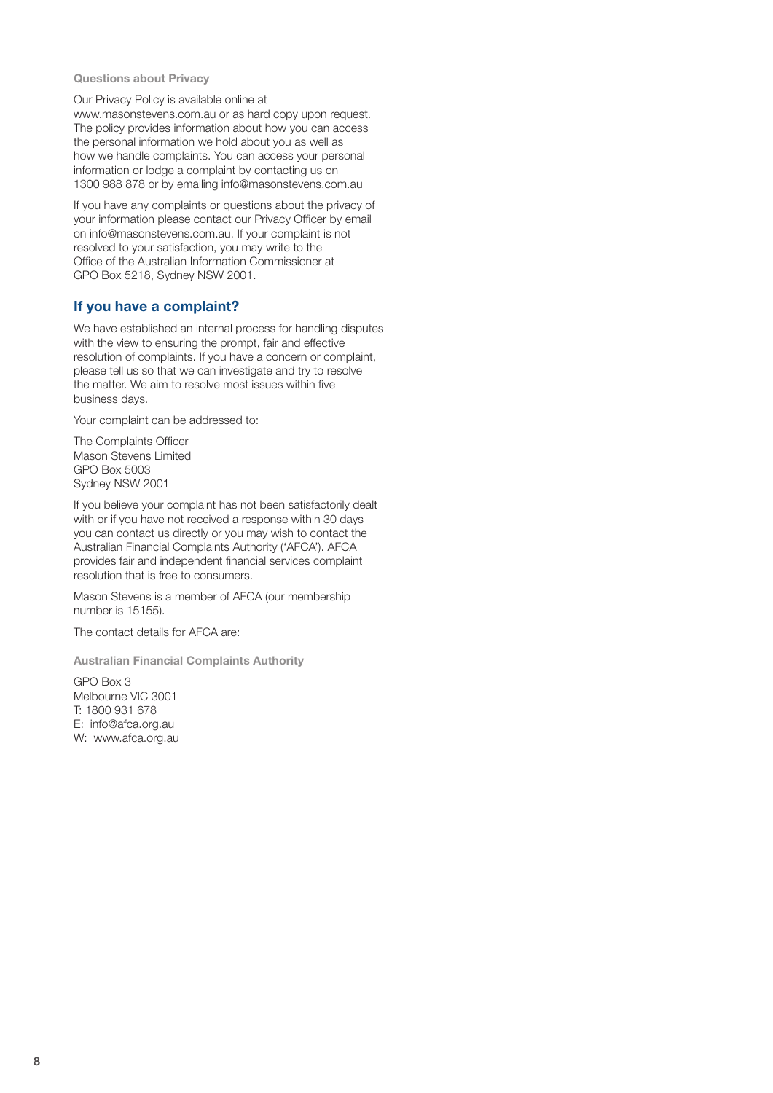**Questions about Privacy**

Our Privacy Policy is available online at

www.masonstevens.com.au or as hard copy upon request. The policy provides information about how you can access the personal information we hold about you as well as how we handle complaints. You can access your personal information or lodge a complaint by contacting us on 1300 988 878 or by emailing info@masonstevens.com.au

If you have any complaints or questions about the privacy of your information please contact our Privacy Officer by email on info@masonstevens.com.au. If your complaint is not resolved to your satisfaction, you may write to the Office of the Australian Information Commissioner at GPO Box 5218, Sydney NSW 2001.

#### **If you have a complaint?**

We have established an internal process for handling disputes with the view to ensuring the prompt, fair and effective resolution of complaints. If you have a concern or complaint, please tell us so that we can investigate and try to resolve the matter. We aim to resolve most issues within five business days.

Your complaint can be addressed to:

The Complaints Officer Mason Stevens Limited GPO Box 5003 Sydney NSW 2001

If you believe your complaint has not been satisfactorily dealt with or if you have not received a response within 30 days you can contact us directly or you may wish to contact the Australian Financial Complaints Authority ('AFCA'). AFCA provides fair and independent financial services complaint resolution that is free to consumers.

Mason Stevens is a member of AFCA (our membership number is 15155).

The contact details for AFCA are:

**Australian Financial Complaints Authority**

GPO Box 3 Melbourne VIC 3001 T: 1800 931 678 E: info@afca.org.au W: www.afca.org.au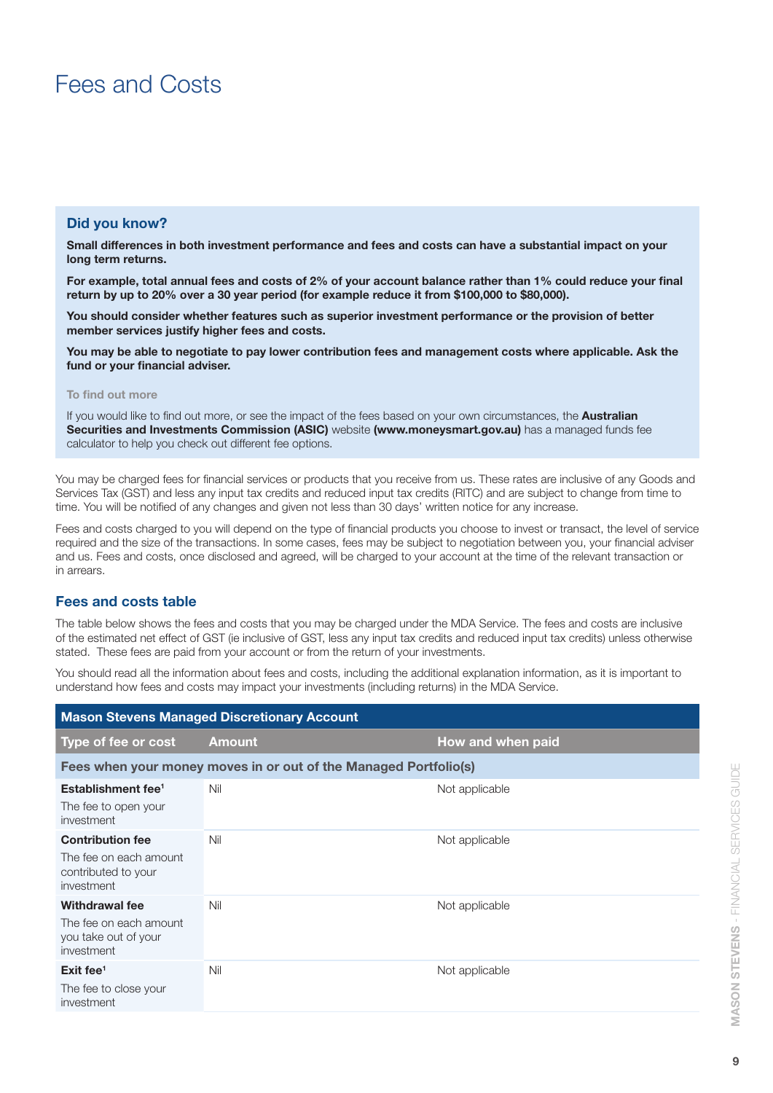# Fees and Costs

#### **Did you know?**

**Small differences in both investment performance and fees and costs can have a substantial impact on your long term returns.**

**For example, total annual fees and costs of 2% of your account balance rather than 1% could reduce your final return by up to 20% over a 30 year period (for example reduce it from \$100,000 to \$80,000).**

**You should consider whether features such as superior investment performance or the provision of better member services justify higher fees and costs.**

**You may be able to negotiate to pay lower contribution fees and management costs where applicable. Ask the fund or your financial adviser.**

#### **To find out more**

If you would like to find out more, or see the impact of the fees based on your own circumstances, the **Australian Securities and Investments Commission (ASIC)** website **(www.moneysmart.gov.au)** has a managed funds fee calculator to help you check out different fee options.

You may be charged fees for financial services or products that you receive from us. These rates are inclusive of any Goods and Services Tax (GST) and less any input tax credits and reduced input tax credits (RITC) and are subject to change from time to time. You will be notified of any changes and given not less than 30 days' written notice for any increase.

Fees and costs charged to you will depend on the type of financial products you choose to invest or transact, the level of service required and the size of the transactions. In some cases, fees may be subject to negotiation between you, your financial adviser and us. Fees and costs, once disclosed and agreed, will be charged to your account at the time of the relevant transaction or in arrears.

#### **Fees and costs table**

The table below shows the fees and costs that you may be charged under the MDA Service. The fees and costs are inclusive of the estimated net effect of GST (ie inclusive of GST, less any input tax credits and reduced input tax credits) unless otherwise stated. These fees are paid from your account or from the return of your investments.

You should read all the information about fees and costs, including the additional explanation information, as it is important to understand how fees and costs may impact your investments (including returns) in the MDA Service.

| <b>Mason Stevens Managed Discretionary Account</b>                                     |               |                   |  |  |
|----------------------------------------------------------------------------------------|---------------|-------------------|--|--|
| Type of fee or cost                                                                    | <b>Amount</b> | How and when paid |  |  |
| Fees when your money moves in or out of the Managed Portfolio(s)                       |               |                   |  |  |
| Establishment fee <sup>1</sup><br>The fee to open your<br>investment                   | Nil           | Not applicable    |  |  |
| <b>Contribution fee</b><br>The fee on each amount<br>contributed to your<br>investment | Nil           | Not applicable    |  |  |
| <b>Withdrawal fee</b><br>The fee on each amount<br>you take out of your<br>investment  | Nil           | Not applicable    |  |  |
| $Exit$ fee <sup>1</sup><br>The fee to close your<br>investment                         | Nil           | Not applicable    |  |  |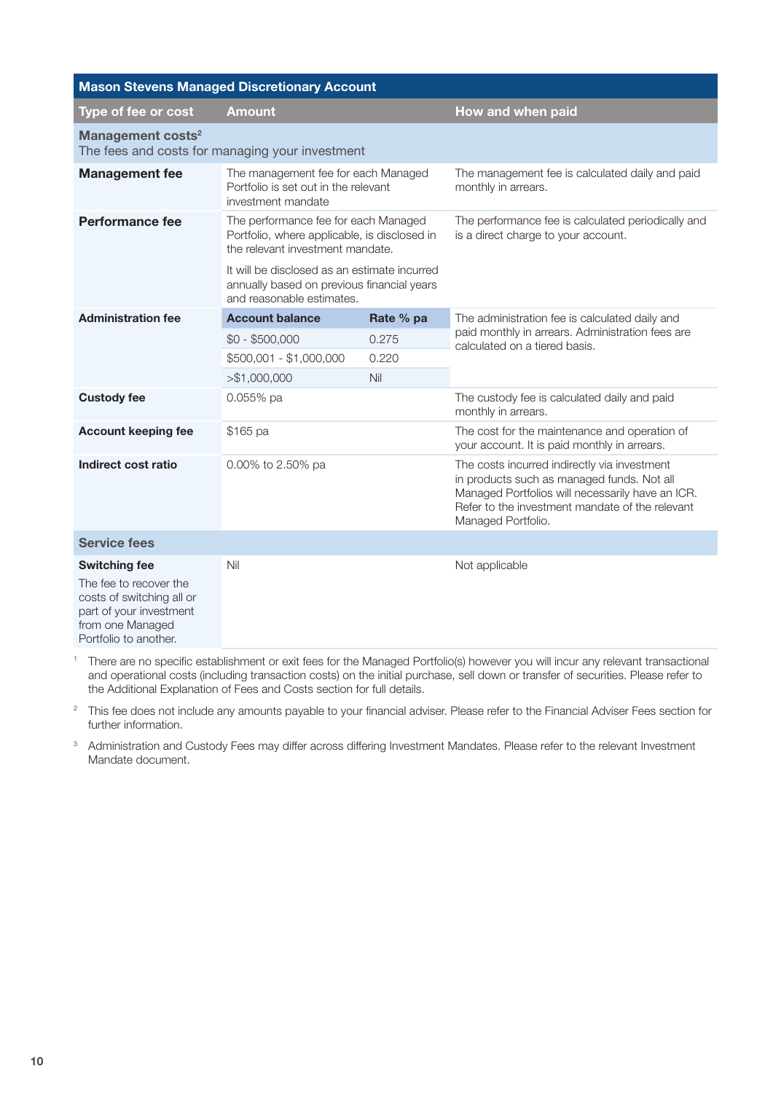| <b>Mason Stevens Managed Discretionary Account</b>                                                                                                  |                                                                                                                          |           |                                                                                                                                                                                                                         |  |
|-----------------------------------------------------------------------------------------------------------------------------------------------------|--------------------------------------------------------------------------------------------------------------------------|-----------|-------------------------------------------------------------------------------------------------------------------------------------------------------------------------------------------------------------------------|--|
| Type of fee or cost                                                                                                                                 | <b>Amount</b>                                                                                                            |           | How and when paid                                                                                                                                                                                                       |  |
| Management costs <sup>2</sup><br>The fees and costs for managing your investment                                                                    |                                                                                                                          |           |                                                                                                                                                                                                                         |  |
| <b>Management fee</b>                                                                                                                               | The management fee for each Managed<br>Portfolio is set out in the relevant<br>investment mandate                        |           | The management fee is calculated daily and paid<br>monthly in arrears.                                                                                                                                                  |  |
| <b>Performance fee</b>                                                                                                                              | The performance fee for each Managed<br>Portfolio, where applicable, is disclosed in<br>the relevant investment mandate. |           | The performance fee is calculated periodically and<br>is a direct charge to your account.                                                                                                                               |  |
|                                                                                                                                                     | It will be disclosed as an estimate incurred<br>annually based on previous financial years<br>and reasonable estimates.  |           |                                                                                                                                                                                                                         |  |
| <b>Administration fee</b>                                                                                                                           | <b>Account balance</b>                                                                                                   | Rate % pa | The administration fee is calculated daily and                                                                                                                                                                          |  |
|                                                                                                                                                     | $$0 - $500,000$                                                                                                          | 0.275     | paid monthly in arrears. Administration fees are<br>calculated on a tiered basis.                                                                                                                                       |  |
|                                                                                                                                                     | \$500,001 - \$1,000,000                                                                                                  | 0.220     |                                                                                                                                                                                                                         |  |
|                                                                                                                                                     | > \$1,000,000                                                                                                            | Nil       |                                                                                                                                                                                                                         |  |
| <b>Custody fee</b>                                                                                                                                  | 0.055% pa                                                                                                                |           | The custody fee is calculated daily and paid<br>monthly in arrears.                                                                                                                                                     |  |
| <b>Account keeping fee</b>                                                                                                                          | \$165 pa                                                                                                                 |           | The cost for the maintenance and operation of<br>your account. It is paid monthly in arrears.                                                                                                                           |  |
| Indirect cost ratio                                                                                                                                 | 0.00% to 2.50% pa                                                                                                        |           | The costs incurred indirectly via investment<br>in products such as managed funds. Not all<br>Managed Portfolios will necessarily have an ICR.<br>Refer to the investment mandate of the relevant<br>Managed Portfolio. |  |
| <b>Service fees</b>                                                                                                                                 |                                                                                                                          |           |                                                                                                                                                                                                                         |  |
| <b>Switching fee</b><br>The fee to recover the<br>costs of switching all or<br>part of your investment<br>from one Managed<br>Portfolio to another. | Nil                                                                                                                      |           | Not applicable                                                                                                                                                                                                          |  |

<sup>1</sup> There are no specific establishment or exit fees for the Managed Portfolio(s) however you will incur any relevant transactional and operational costs (including transaction costs) on the initial purchase, sell down or transfer of securities. Please refer to the Additional Explanation of Fees and Costs section for full details.

<sup>2</sup> This fee does not include any amounts payable to your financial adviser. Please refer to the Financial Adviser Fees section for further information.

<sup>3</sup> Administration and Custody Fees may differ across differing Investment Mandates. Please refer to the relevant Investment Mandate document.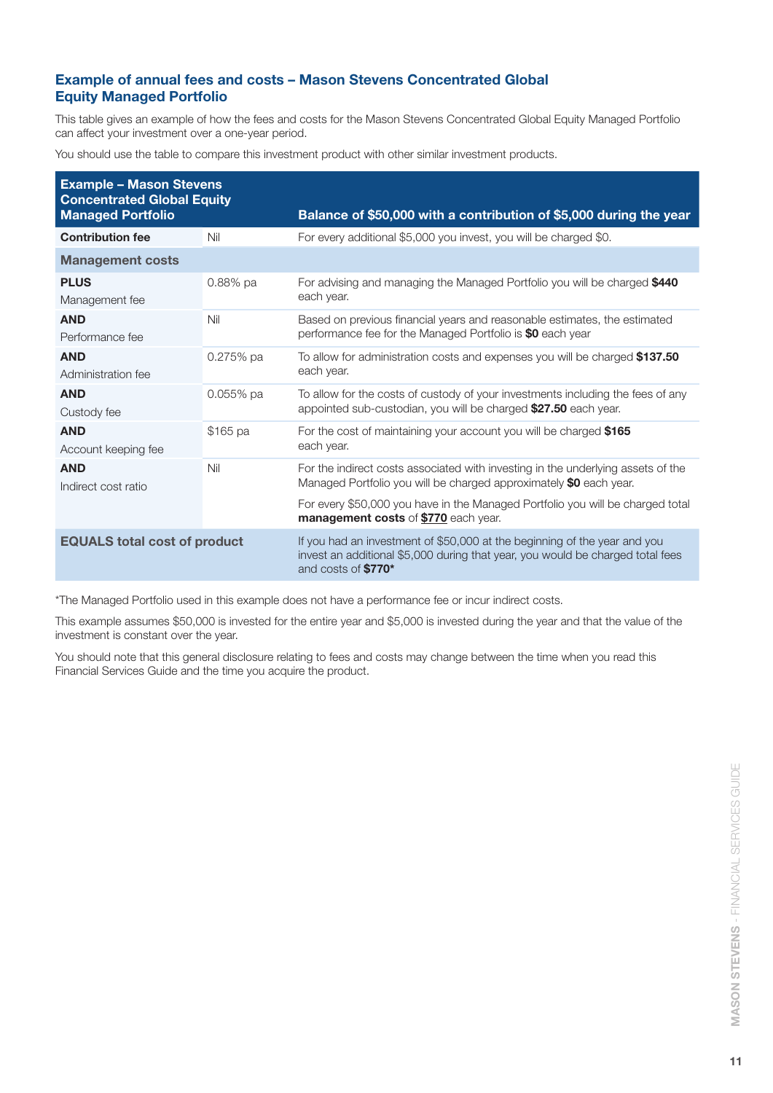# **Example of annual fees and costs – Mason Stevens Concentrated Global Equity Managed Portfolio**

This table gives an example of how the fees and costs for the Mason Stevens Concentrated Global Equity Managed Portfolio can affect your investment over a one-year period.

You should use the table to compare this investment product with other similar investment products.

| <b>Example - Mason Stevens</b><br><b>Concentrated Global Equity</b><br><b>Managed Portfolio</b> |             | Balance of \$50,000 with a contribution of \$5,000 during the year                                                                                                                 |
|-------------------------------------------------------------------------------------------------|-------------|------------------------------------------------------------------------------------------------------------------------------------------------------------------------------------|
| <b>Contribution fee</b>                                                                         | Nil         | For every additional \$5,000 you invest, you will be charged \$0.                                                                                                                  |
| <b>Management costs</b>                                                                         |             |                                                                                                                                                                                    |
| <b>PLUS</b><br>Management fee                                                                   | 0.88% pa    | For advising and managing the Managed Portfolio you will be charged \$440<br>each year.                                                                                            |
| <b>AND</b><br>Performance fee                                                                   | Nil         | Based on previous financial years and reasonable estimates, the estimated<br>performance fee for the Managed Portfolio is \$0 each year                                            |
| <b>AND</b><br>Administration fee                                                                | $0.275%$ pa | To allow for administration costs and expenses you will be charged \$137.50<br>each year.                                                                                          |
| <b>AND</b><br>Custody fee                                                                       | $0.055%$ pa | To allow for the costs of custody of your investments including the fees of any<br>appointed sub-custodian, you will be charged \$27.50 each year.                                 |
| <b>AND</b><br>Account keeping fee                                                               | \$165 pa    | For the cost of maintaining your account you will be charged \$165<br>each year.                                                                                                   |
| <b>AND</b><br>Indirect cost ratio                                                               | Nil         | For the indirect costs associated with investing in the underlying assets of the<br>Managed Portfolio you will be charged approximately \$0 each year.                             |
|                                                                                                 |             | For every \$50,000 you have in the Managed Portfolio you will be charged total<br>management costs of \$770 each year.                                                             |
| <b>EQUALS total cost of product</b>                                                             |             | If you had an investment of \$50,000 at the beginning of the year and you<br>invest an additional \$5,000 during that year, you would be charged total fees<br>and costs of \$770* |

\*The Managed Portfolio used in this example does not have a performance fee or incur indirect costs.

This example assumes \$50,000 is invested for the entire year and \$5,000 is invested during the year and that the value of the investment is constant over the year.

You should note that this general disclosure relating to fees and costs may change between the time when you read this Financial Services Guide and the time you acquire the product.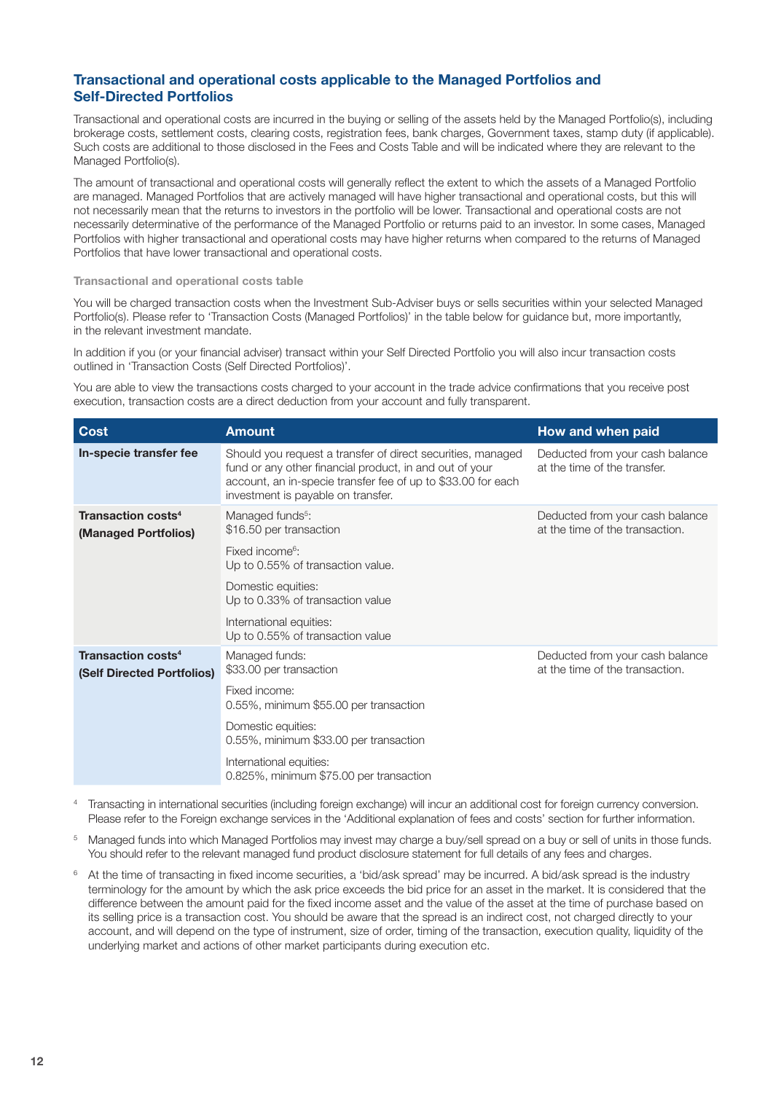# **Transactional and operational costs applicable to the Managed Portfolios and Self-Directed Portfolios**

Transactional and operational costs are incurred in the buying or selling of the assets held by the Managed Portfolio(s), including brokerage costs, settlement costs, clearing costs, registration fees, bank charges, Government taxes, stamp duty (if applicable). Such costs are additional to those disclosed in the Fees and Costs Table and will be indicated where they are relevant to the Managed Portfolio(s).

The amount of transactional and operational costs will generally reflect the extent to which the assets of a Managed Portfolio are managed. Managed Portfolios that are actively managed will have higher transactional and operational costs, but this will not necessarily mean that the returns to investors in the portfolio will be lower. Transactional and operational costs are not necessarily determinative of the performance of the Managed Portfolio or returns paid to an investor. In some cases, Managed Portfolios with higher transactional and operational costs may have higher returns when compared to the returns of Managed Portfolios that have lower transactional and operational costs.

#### **Transactional and operational costs table**

You will be charged transaction costs when the Investment Sub-Adviser buys or sells securities within your selected Managed Portfolio(s). Please refer to 'Transaction Costs (Managed Portfolios)' in the table below for guidance but, more importantly, in the relevant investment mandate.

In addition if you (or your financial adviser) transact within your Self Directed Portfolio you will also incur transaction costs outlined in 'Transaction Costs (Self Directed Portfolios)'.

You are able to view the transactions costs charged to your account in the trade advice confirmations that you receive post execution, transaction costs are a direct deduction from your account and fully transparent.

| <b>Cost</b>                                                        | <b>Amount</b>                                                                                                                                                                                                                | How and when paid                                                  |  |
|--------------------------------------------------------------------|------------------------------------------------------------------------------------------------------------------------------------------------------------------------------------------------------------------------------|--------------------------------------------------------------------|--|
| In-specie transfer fee                                             | Should you request a transfer of direct securities, managed<br>fund or any other financial product, in and out of your<br>account, an in-specie transfer fee of up to \$33.00 for each<br>investment is payable on transfer. | Deducted from your cash balance<br>at the time of the transfer.    |  |
| Transaction costs <sup>4</sup><br>(Managed Portfolios)             | Managed funds <sup>5</sup> :<br>\$16.50 per transaction                                                                                                                                                                      | Deducted from your cash balance<br>at the time of the transaction. |  |
|                                                                    | Fixed income <sup>6</sup> :<br>Up to 0.55% of transaction value.                                                                                                                                                             |                                                                    |  |
|                                                                    | Domestic equities:<br>Up to 0.33% of transaction value                                                                                                                                                                       |                                                                    |  |
|                                                                    | International equities:<br>Up to 0.55% of transaction value                                                                                                                                                                  |                                                                    |  |
| <b>Transaction costs<sup>4</sup></b><br>(Self Directed Portfolios) | Managed funds:<br>\$33.00 per transaction                                                                                                                                                                                    | Deducted from your cash balance<br>at the time of the transaction. |  |
|                                                                    | Fixed income:<br>0.55%, minimum \$55.00 per transaction                                                                                                                                                                      |                                                                    |  |
|                                                                    | Domestic equities:<br>0.55%, minimum \$33.00 per transaction                                                                                                                                                                 |                                                                    |  |
|                                                                    | International equities:<br>0.825%, minimum \$75.00 per transaction                                                                                                                                                           |                                                                    |  |

4 Transacting in international securities (including foreign exchange) will incur an additional cost for foreign currency conversion. Please refer to the Foreign exchange services in the 'Additional explanation of fees and costs' section for further information.

<sup>5</sup> Managed funds into which Managed Portfolios may invest may charge a buy/sell spread on a buy or sell of units in those funds. You should refer to the relevant managed fund product disclosure statement for full details of any fees and charges.

<sup>6</sup> At the time of transacting in fixed income securities, a 'bid/ask spread' may be incurred. A bid/ask spread is the industry terminology for the amount by which the ask price exceeds the bid price for an asset in the market. It is considered that the difference between the amount paid for the fixed income asset and the value of the asset at the time of purchase based on its selling price is a transaction cost. You should be aware that the spread is an indirect cost, not charged directly to your account, and will depend on the type of instrument, size of order, timing of the transaction, execution quality, liquidity of the underlying market and actions of other market participants during execution etc.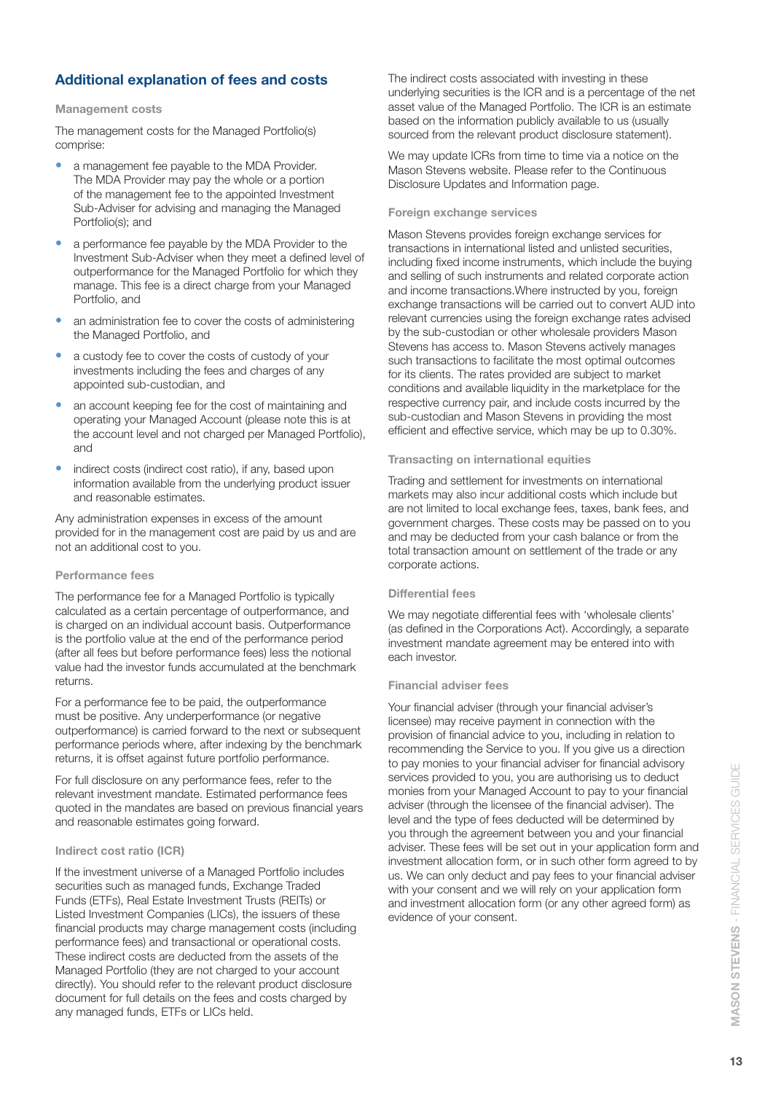# **Additional explanation of fees and costs**

#### **Management costs**

The management costs for the Managed Portfolio(s) comprise:

- a management fee payable to the MDA Provider. The MDA Provider may pay the whole or a portion of the management fee to the appointed Investment Sub-Adviser for advising and managing the Managed Portfolio(s); and
- a performance fee payable by the MDA Provider to the Investment Sub-Adviser when they meet a defined level of outperformance for the Managed Portfolio for which they manage. This fee is a direct charge from your Managed Portfolio, and
- an administration fee to cover the costs of administering the Managed Portfolio, and
- a custody fee to cover the costs of custody of your investments including the fees and charges of any appointed sub-custodian, and
- an account keeping fee for the cost of maintaining and operating your Managed Account (please note this is at the account level and not charged per Managed Portfolio), and
- indirect costs (indirect cost ratio), if any, based upon information available from the underlying product issuer and reasonable estimates.

Any administration expenses in excess of the amount provided for in the management cost are paid by us and are not an additional cost to you.

#### **Performance fees**

The performance fee for a Managed Portfolio is typically calculated as a certain percentage of outperformance, and is charged on an individual account basis. Outperformance is the portfolio value at the end of the performance period (after all fees but before performance fees) less the notional value had the investor funds accumulated at the benchmark returns.

For a performance fee to be paid, the outperformance must be positive. Any underperformance (or negative outperformance) is carried forward to the next or subsequent performance periods where, after indexing by the benchmark returns, it is offset against future portfolio performance.

For full disclosure on any performance fees, refer to the relevant investment mandate. Estimated performance fees quoted in the mandates are based on previous financial years and reasonable estimates going forward.

#### **Indirect cost ratio (ICR)**

If the investment universe of a Managed Portfolio includes securities such as managed funds, Exchange Traded Funds (ETFs), Real Estate Investment Trusts (REITs) or Listed Investment Companies (LICs), the issuers of these financial products may charge management costs (including performance fees) and transactional or operational costs. These indirect costs are deducted from the assets of the Managed Portfolio (they are not charged to your account directly). You should refer to the relevant product disclosure document for full details on the fees and costs charged by any managed funds, ETFs or LICs held.

The indirect costs associated with investing in these underlying securities is the ICR and is a percentage of the net asset value of the Managed Portfolio. The ICR is an estimate based on the information publicly available to us (usually sourced from the relevant product disclosure statement).

We may update ICRs from time to time via a notice on the Mason Stevens website. Please refer to the Continuous Disclosure Updates and Information page.

#### **Foreign exchange services**

Mason Stevens provides foreign exchange services for transactions in international listed and unlisted securities, including fixed income instruments, which include the buying and selling of such instruments and related corporate action and income transactions.Where instructed by you, foreign exchange transactions will be carried out to convert AUD into relevant currencies using the foreign exchange rates advised by the sub-custodian or other wholesale providers Mason Stevens has access to. Mason Stevens actively manages such transactions to facilitate the most optimal outcomes for its clients. The rates provided are subject to market conditions and available liquidity in the marketplace for the respective currency pair, and include costs incurred by the sub-custodian and Mason Stevens in providing the most efficient and effective service, which may be up to 0.30%.

#### **Transacting on international equities**

Trading and settlement for investments on international markets may also incur additional costs which include but are not limited to local exchange fees, taxes, bank fees, and government charges. These costs may be passed on to you and may be deducted from your cash balance or from the total transaction amount on settlement of the trade or any corporate actions.

#### **Differential fees**

We may negotiate differential fees with 'wholesale clients' (as defined in the Corporations Act). Accordingly, a separate investment mandate agreement may be entered into with each investor.

#### **Financial adviser fees**

Your financial adviser (through your financial adviser's licensee) may receive payment in connection with the provision of financial advice to you, including in relation to recommending the Service to you. If you give us a direction to pay monies to your financial adviser for financial advisory services provided to you, you are authorising us to deduct monies from your Managed Account to pay to your financial adviser (through the licensee of the financial adviser). The level and the type of fees deducted will be determined by you through the agreement between you and your financial adviser. These fees will be set out in your application form and investment allocation form, or in such other form agreed to by us. We can only deduct and pay fees to your financial adviser with your consent and we will rely on your application form and investment allocation form (or any other agreed form) as evidence of your consent.